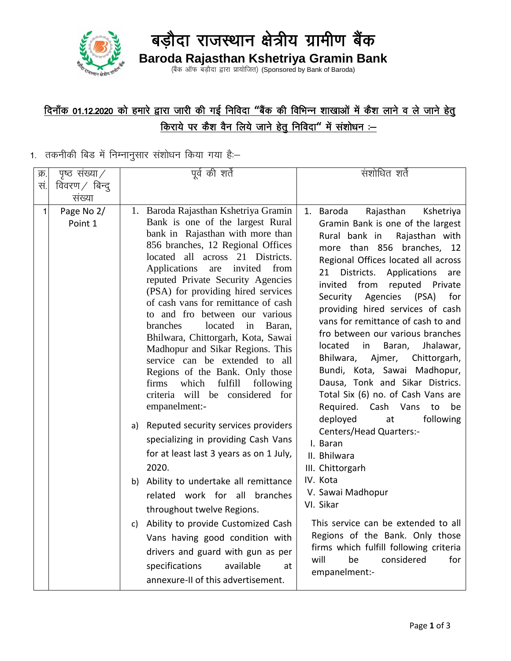

# बड़ौदा राजस्थान क्षेत्रीय ग्रामीण बैंक **Baroda Rajasthan Kshetriya Gramin Bank**

(बैंक ऑफ बड़ौदा द्वारा प्रायोजित) (Sponsored by Bank of Baroda)

### <u>दिनाँक 01.12.2020 को हमारे द्वारा जारी की गई निविदा "बैंक की विभिन्न शाखाओं में कैश लाने व ले जाने हेतु</u> <u>किराये पर कैश वैन लिये जाने हेतु निविदा" में संशोधन :-</u>

#### $1.$  तकनीकी बिड में निम्नानुसार संशोधन किया गया है:–

| क्र. | पृष्ठ संख्या $\angle$ | पूर्व की शर्ते                                                                                                                                                                                                                                                                                                                                                                                                                                                                                                                                                                                                                                                                                                                                                                                                                                                                                                                                                                                                                                                                                                       | संशोधित शर्ते                                                                                                                                                                                                                                                                                                                                                                                                                                                                                                                                                                                                                                                                                                                                                                                                                                                                                                                                                                            |
|------|-----------------------|----------------------------------------------------------------------------------------------------------------------------------------------------------------------------------------------------------------------------------------------------------------------------------------------------------------------------------------------------------------------------------------------------------------------------------------------------------------------------------------------------------------------------------------------------------------------------------------------------------------------------------------------------------------------------------------------------------------------------------------------------------------------------------------------------------------------------------------------------------------------------------------------------------------------------------------------------------------------------------------------------------------------------------------------------------------------------------------------------------------------|------------------------------------------------------------------------------------------------------------------------------------------------------------------------------------------------------------------------------------------------------------------------------------------------------------------------------------------------------------------------------------------------------------------------------------------------------------------------------------------------------------------------------------------------------------------------------------------------------------------------------------------------------------------------------------------------------------------------------------------------------------------------------------------------------------------------------------------------------------------------------------------------------------------------------------------------------------------------------------------|
| सं.  | विवरण $\angle$ बिन्द् |                                                                                                                                                                                                                                                                                                                                                                                                                                                                                                                                                                                                                                                                                                                                                                                                                                                                                                                                                                                                                                                                                                                      |                                                                                                                                                                                                                                                                                                                                                                                                                                                                                                                                                                                                                                                                                                                                                                                                                                                                                                                                                                                          |
|      | संख्या                |                                                                                                                                                                                                                                                                                                                                                                                                                                                                                                                                                                                                                                                                                                                                                                                                                                                                                                                                                                                                                                                                                                                      |                                                                                                                                                                                                                                                                                                                                                                                                                                                                                                                                                                                                                                                                                                                                                                                                                                                                                                                                                                                          |
| 1    | Page No 2/<br>Point 1 | 1. Baroda Rajasthan Kshetriya Gramin<br>Bank is one of the largest Rural<br>bank in Rajasthan with more than<br>856 branches, 12 Regional Offices<br>located all across 21 Districts.<br>Applications<br>invited<br>from<br>are<br>reputed Private Security Agencies<br>(PSA) for providing hired services<br>of cash vans for remittance of cash<br>to and fro between our various<br>branches<br>located<br>Baran,<br>in<br>Bhilwara, Chittorgarh, Kota, Sawai<br>Madhopur and Sikar Regions. This<br>service can be extended to all<br>Regions of the Bank. Only those<br>fulfill<br>firms<br>which<br>following<br>criteria will be considered for<br>empanelment:-<br>a) Reputed security services providers<br>specializing in providing Cash Vans<br>for at least last 3 years as on 1 July,<br>2020.<br>b) Ability to undertake all remittance<br>related work for all branches<br>throughout twelve Regions.<br>Ability to provide Customized Cash<br>C)<br>Vans having good condition with<br>drivers and guard with gun as per<br>specifications<br>available<br>at<br>annexure-II of this advertisement. | Rajasthan<br>1. Baroda<br>Kshetriya<br>Gramin Bank is one of the largest<br>Rural bank in<br>Rajasthan with<br>more than 856 branches,<br>12<br>Regional Offices located all across<br>Districts.<br>Applications<br>21<br>are<br>invited<br>from<br>reputed<br>Private<br>Agencies<br>(PSA)<br>for<br>Security<br>providing hired services of cash<br>vans for remittance of cash to and<br>fro between our various branches<br>located<br>in<br>Baran,<br>Jhalawar,<br>Bhilwara,<br>Ajmer,<br>Chittorgarh,<br>Bundi, Kota, Sawai Madhopur,<br>Dausa, Tonk and Sikar Districs.<br>Total Six (6) no. of Cash Vans are<br>Required. Cash Vans<br>be<br>to<br>deployed<br>following<br>at<br>Centers/Head Quarters:-<br>I. Baran<br>II. Bhilwara<br>III. Chittorgarh<br>IV. Kota<br>V. Sawai Madhopur<br>VI. Sikar<br>This service can be extended to all<br>Regions of the Bank. Only those<br>firms which fulfill following criteria<br>will<br>considered<br>for<br>be<br>empanelment:- |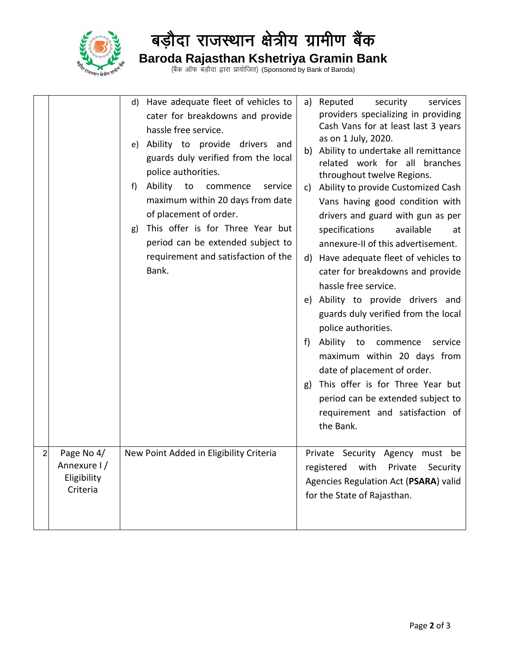

# बड़ौदा राजस्थान क्षेत्रीय ग्रामीण बैंक **Baroda Rajasthan Kshetriya Gramin Bank**

(बैंक ऑफ बड़ौदा द्वारा प्रायोजित) (Sponsored by Bank of Baroda)

|                |                                                      | d) Have adequate fleet of vehicles to<br>cater for breakdowns and provide<br>hassle free service.<br>e) Ability to provide drivers and<br>guards duly verified from the local<br>police authorities.<br>Ability<br>to<br>service<br>f)<br>commence<br>maximum within 20 days from date<br>of placement of order.<br>This offer is for Three Year but<br>g)<br>period can be extended subject to<br>requirement and satisfaction of the<br>Bank. | a) Reputed<br>security<br>services<br>providers specializing in providing<br>Cash Vans for at least last 3 years<br>as on 1 July, 2020.<br>b) Ability to undertake all remittance<br>related work for all branches<br>throughout twelve Regions.<br>Ability to provide Customized Cash<br>C)<br>Vans having good condition with<br>drivers and guard with gun as per<br>available<br>specifications<br>at<br>annexure-II of this advertisement.<br>d) Have adequate fleet of vehicles to<br>cater for breakdowns and provide<br>hassle free service.<br>e) Ability to provide drivers and<br>guards duly verified from the local<br>police authorities.<br>Ability to commence<br>service<br>t)<br>maximum within 20 days from<br>date of placement of order.<br>This offer is for Three Year but<br>g)<br>period can be extended subject to<br>requirement and satisfaction of<br>the Bank. |
|----------------|------------------------------------------------------|-------------------------------------------------------------------------------------------------------------------------------------------------------------------------------------------------------------------------------------------------------------------------------------------------------------------------------------------------------------------------------------------------------------------------------------------------|----------------------------------------------------------------------------------------------------------------------------------------------------------------------------------------------------------------------------------------------------------------------------------------------------------------------------------------------------------------------------------------------------------------------------------------------------------------------------------------------------------------------------------------------------------------------------------------------------------------------------------------------------------------------------------------------------------------------------------------------------------------------------------------------------------------------------------------------------------------------------------------------|
| $\overline{2}$ | Page No 4/<br>Annexure I/<br>Eligibility<br>Criteria | New Point Added in Eligibility Criteria                                                                                                                                                                                                                                                                                                                                                                                                         | Private Security Agency must be<br>with<br>registered<br>Private<br>Security<br>Agencies Regulation Act (PSARA) valid<br>for the State of Rajasthan.                                                                                                                                                                                                                                                                                                                                                                                                                                                                                                                                                                                                                                                                                                                                         |